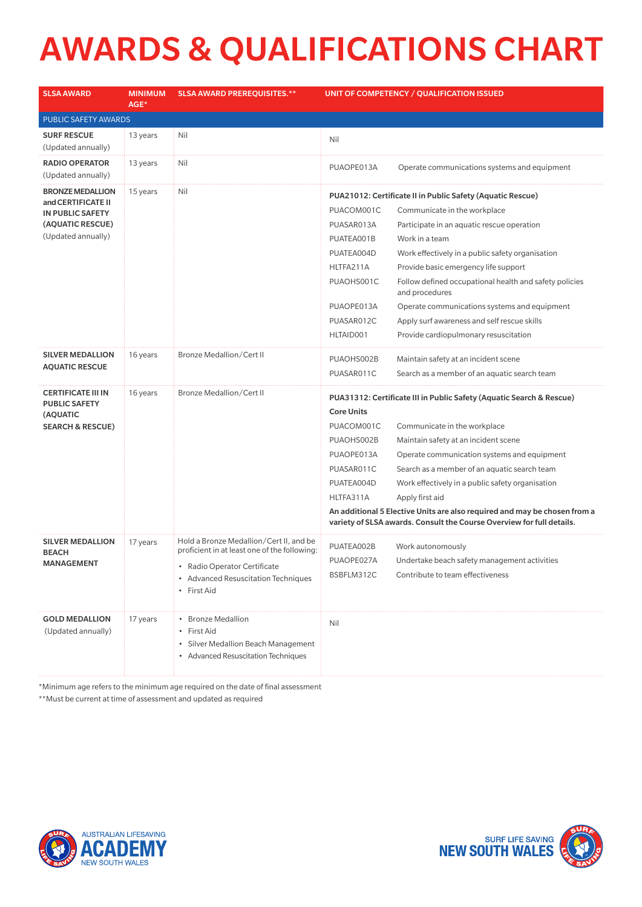## AWARDS & QUALIFICATIONS CHART

| <b>SLSA AWARD</b>                                 | <b>MINIMUM</b><br>AGE* | <b>SLSA AWARD PREREQUISITES.**</b>                                                      | UNIT OF COMPETENCY / QUALIFICATION ISSUED                                                                                                          |                                                                                           |  |  |  |
|---------------------------------------------------|------------------------|-----------------------------------------------------------------------------------------|----------------------------------------------------------------------------------------------------------------------------------------------------|-------------------------------------------------------------------------------------------|--|--|--|
| PUBLIC SAFETY AWARDS                              |                        |                                                                                         |                                                                                                                                                    |                                                                                           |  |  |  |
| <b>SURF RESCUE</b><br>(Updated annually)          | 13 years               | Nil                                                                                     | Nil                                                                                                                                                |                                                                                           |  |  |  |
| <b>RADIO OPERATOR</b><br>(Updated annually)       | 13 years               | Nil                                                                                     | PUAOPE013A                                                                                                                                         | Operate communications systems and equipment                                              |  |  |  |
| <b>BRONZE MEDALLION</b><br>and CERTIFICATE II     | 15 years               | Nil                                                                                     | PUA21012: Certificate II in Public Safety (Aquatic Rescue)                                                                                         |                                                                                           |  |  |  |
| IN PUBLIC SAFETY                                  |                        |                                                                                         | PUACOM001C                                                                                                                                         | Communicate in the workplace                                                              |  |  |  |
| (AQUATIC RESCUE)                                  |                        |                                                                                         | PUASAR013A                                                                                                                                         | Participate in an aquatic rescue operation                                                |  |  |  |
| (Updated annually)                                |                        |                                                                                         | PUATEA001B                                                                                                                                         | Work in a team                                                                            |  |  |  |
|                                                   |                        |                                                                                         | PUATEA004D                                                                                                                                         | Work effectively in a public safety organisation                                          |  |  |  |
|                                                   |                        |                                                                                         | HLTFA211A                                                                                                                                          | Provide basic emergency life support                                                      |  |  |  |
|                                                   |                        |                                                                                         | PUAOHS001C                                                                                                                                         | Follow defined occupational health and safety policies<br>and procedures                  |  |  |  |
|                                                   |                        |                                                                                         | PUAOPE013A                                                                                                                                         | Operate communications systems and equipment                                              |  |  |  |
|                                                   |                        |                                                                                         | PUASAR012C                                                                                                                                         | Apply surf awareness and self rescue skills                                               |  |  |  |
|                                                   |                        |                                                                                         | HLTAID001                                                                                                                                          | Provide cardiopulmonary resuscitation                                                     |  |  |  |
| <b>SILVER MEDALLION</b>                           | 16 years               | <b>Bronze Medallion/Cert II</b>                                                         | PUAOHS002B                                                                                                                                         | Maintain safety at an incident scene                                                      |  |  |  |
| <b>AQUATIC RESCUE</b>                             |                        |                                                                                         | PUASAR011C                                                                                                                                         | Search as a member of an aquatic search team                                              |  |  |  |
| <b>CERTIFICATE III IN</b><br><b>PUBLIC SAFETY</b> | 16 years               | Bronze Medallion/Cert II                                                                |                                                                                                                                                    | PUA31312: Certificate III in Public Safety (Aquatic Search & Rescue)<br><b>Core Units</b> |  |  |  |
| (AQUATIC                                          |                        |                                                                                         |                                                                                                                                                    |                                                                                           |  |  |  |
| <b>SEARCH &amp; RESCUE)</b>                       |                        |                                                                                         | PUACOM001C                                                                                                                                         | Communicate in the workplace                                                              |  |  |  |
|                                                   |                        |                                                                                         | PUAOHS002B                                                                                                                                         | Maintain safety at an incident scene                                                      |  |  |  |
|                                                   |                        |                                                                                         | PUAOPE013A                                                                                                                                         | Operate communication systems and equipment                                               |  |  |  |
|                                                   |                        |                                                                                         | PUASAR011C                                                                                                                                         | Search as a member of an aquatic search team                                              |  |  |  |
|                                                   |                        |                                                                                         | PUATEA004D                                                                                                                                         | Work effectively in a public safety organisation                                          |  |  |  |
|                                                   |                        |                                                                                         | HLTFA311A                                                                                                                                          | Apply first aid                                                                           |  |  |  |
|                                                   |                        |                                                                                         | An additional 5 Elective Units are also required and may be chosen from a<br>variety of SLSA awards. Consult the Course Overview for full details. |                                                                                           |  |  |  |
| <b>SILVER MEDALLION</b>                           | 17 years               | Hold a Bronze Medallion/Cert II, and be<br>proficient in at least one of the following: | PUATEA002B                                                                                                                                         | Work autonomously                                                                         |  |  |  |
| <b>BEACH</b><br><b>MANAGEMENT</b>                 |                        |                                                                                         | PUAOPE027A                                                                                                                                         | Undertake beach safety management activities                                              |  |  |  |
|                                                   |                        | • Radio Operator Certificate<br>• Advanced Resuscitation Techniques                     | BSBFLM312C                                                                                                                                         | Contribute to team effectiveness                                                          |  |  |  |
|                                                   |                        | • First Aid                                                                             |                                                                                                                                                    |                                                                                           |  |  |  |
| <b>GOLD MEDALLION</b>                             | 17 years               | • Bronze Medallion                                                                      |                                                                                                                                                    |                                                                                           |  |  |  |
| (Updated annually)                                |                        | • First Aid                                                                             | Nil                                                                                                                                                |                                                                                           |  |  |  |
|                                                   |                        | • Silver Medallion Beach Management                                                     |                                                                                                                                                    |                                                                                           |  |  |  |
|                                                   |                        | • Advanced Resuscitation Techniques                                                     |                                                                                                                                                    |                                                                                           |  |  |  |
|                                                   |                        |                                                                                         |                                                                                                                                                    |                                                                                           |  |  |  |

\*Minimum age refers to the minimum age required on the date of final assessment

\*\*Must be current at time of assessment and updated as required